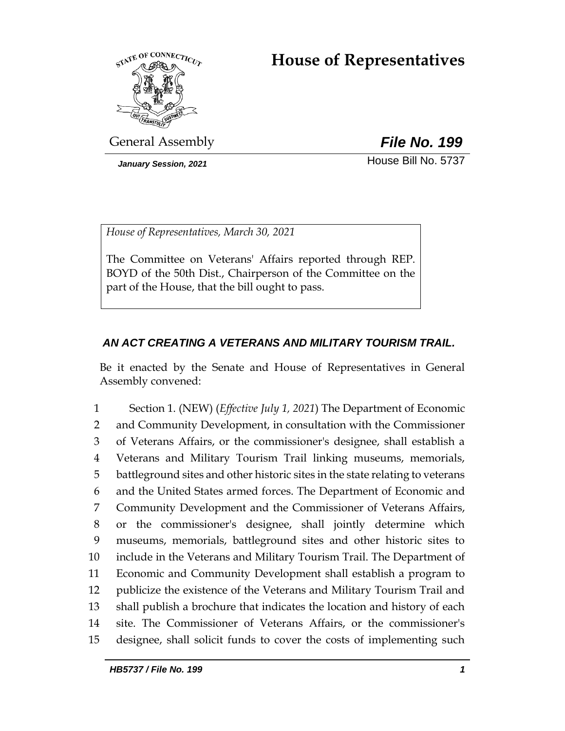# **House of Representatives**



General Assembly *File No. 199*

*January Session, 2021* **House Bill No. 5737** 

*House of Representatives, March 30, 2021*

The Committee on Veterans' Affairs reported through REP. BOYD of the 50th Dist., Chairperson of the Committee on the part of the House, that the bill ought to pass.

## *AN ACT CREATING A VETERANS AND MILITARY TOURISM TRAIL.*

Be it enacted by the Senate and House of Representatives in General Assembly convened:

 Section 1. (NEW) (*Effective July 1, 2021*) The Department of Economic and Community Development, in consultation with the Commissioner of Veterans Affairs, or the commissioner's designee, shall establish a Veterans and Military Tourism Trail linking museums, memorials, battleground sites and other historic sites in the state relating to veterans and the United States armed forces. The Department of Economic and Community Development and the Commissioner of Veterans Affairs, or the commissioner's designee, shall jointly determine which museums, memorials, battleground sites and other historic sites to include in the Veterans and Military Tourism Trail. The Department of Economic and Community Development shall establish a program to publicize the existence of the Veterans and Military Tourism Trail and shall publish a brochure that indicates the location and history of each site. The Commissioner of Veterans Affairs, or the commissioner's designee, shall solicit funds to cover the costs of implementing such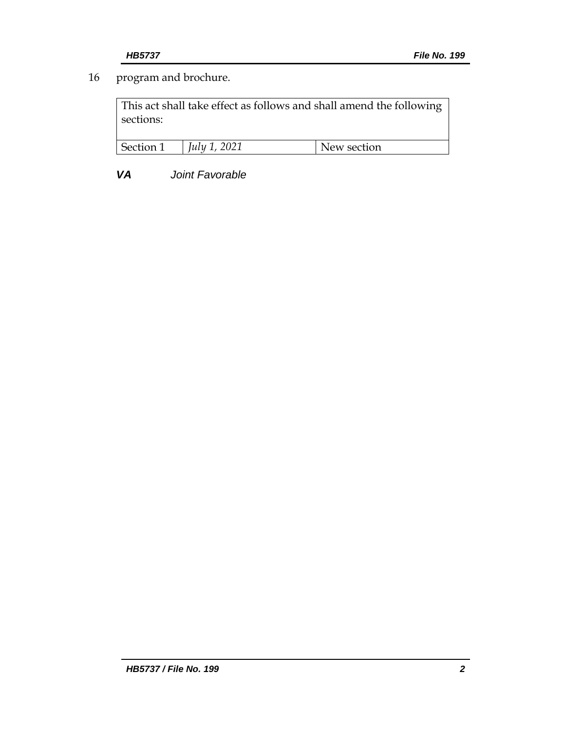## 16 program and brochure.

This act shall take effect as follows and shall amend the following sections:

| Section 1 | 2021<br>July 1 | New section |
|-----------|----------------|-------------|
|           |                |             |

*VA Joint Favorable*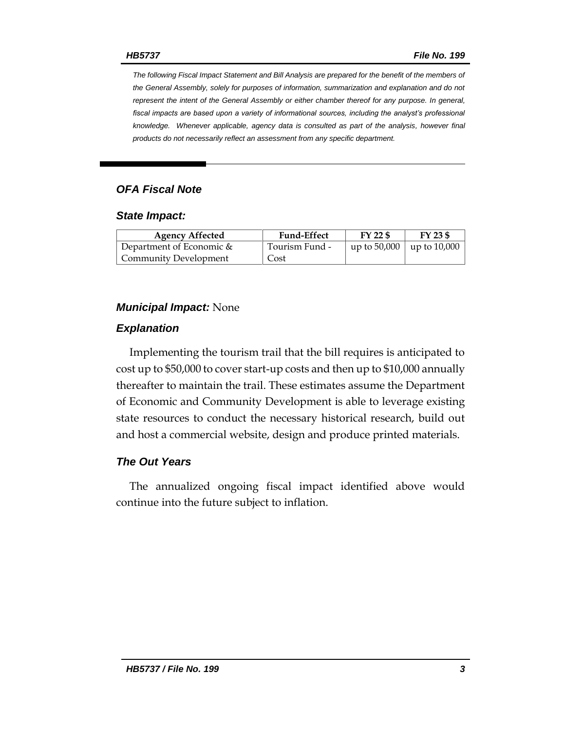*The following Fiscal Impact Statement and Bill Analysis are prepared for the benefit of the members of the General Assembly, solely for purposes of information, summarization and explanation and do not represent the intent of the General Assembly or either chamber thereof for any purpose. In general,*  fiscal impacts are based upon a variety of informational sources, including the analyst's professional *knowledge. Whenever applicable, agency data is consulted as part of the analysis, however final products do not necessarily reflect an assessment from any specific department.*

### *OFA Fiscal Note*

#### *State Impact:*

| <b>Agency Affected</b>       | <b>Fund-Effect</b> | $FY$ 22 \$                      | FY 23 \$ |
|------------------------------|--------------------|---------------------------------|----------|
| Department of Economic $\&$  | Tourism Fund -     | up to $50,000$   up to $10,000$ |          |
| <b>Community Development</b> | Cost               |                                 |          |

#### *Municipal Impact:* None

#### *Explanation*

Implementing the tourism trail that the bill requires is anticipated to cost up to \$50,000 to cover start-up costs and then up to \$10,000 annually thereafter to maintain the trail. These estimates assume the Department of Economic and Community Development is able to leverage existing state resources to conduct the necessary historical research, build out and host a commercial website, design and produce printed materials.

### *The Out Years*

The annualized ongoing fiscal impact identified above would continue into the future subject to inflation.